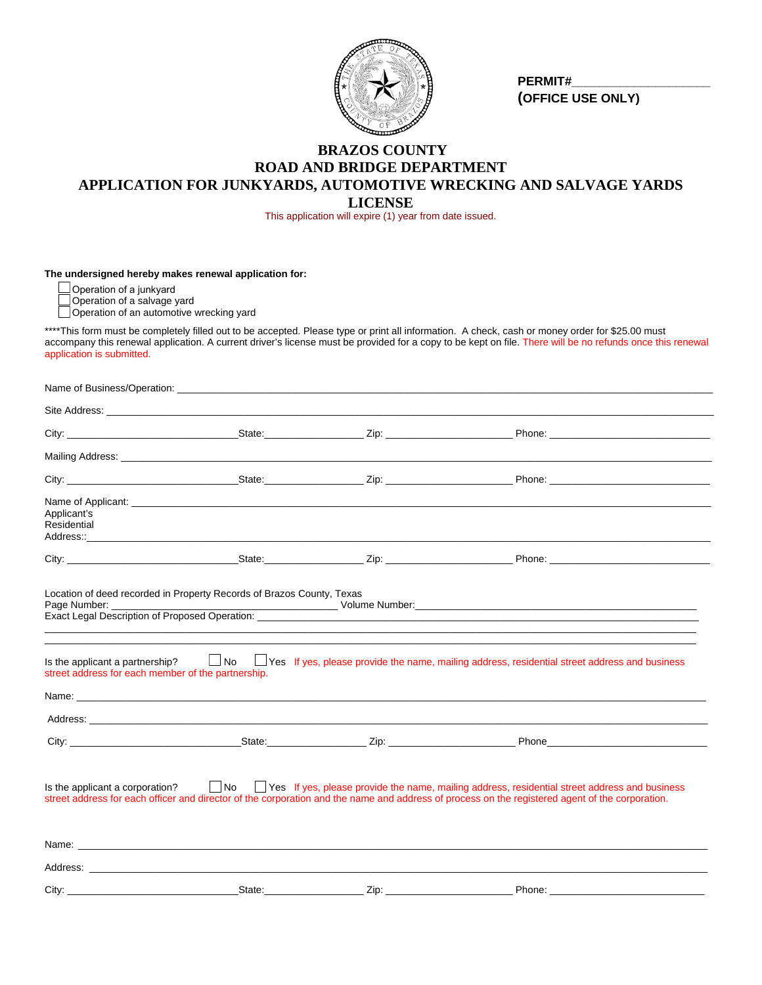

 **PERMIT#\_\_\_\_\_\_\_\_\_\_\_\_\_\_\_\_\_\_\_\_ (OFFICE USE ONLY)**

## **BRAZOS COUNTY ROAD AND BRIDGE DEPARTMENT APPLICATION FOR JUNKYARDS, AUTOMOTIVE WRECKING AND SALVAGE YARDS LICENSE**

This application will expire (1) year from date issued.

**The undersigned hereby makes renewal application for:** 

Operation of a junkyard

Operation of a salvage yard

Operation of a salvage yard<br>
Operation of an automotive wrecking yard

\*\*\*\*This form must be completely filled out to be accepted. Please type or print all information. A check, cash or money order for \$25.00 must accompany this renewal application. A current driver's license must be provided for a copy to be kept on file. There will be no refunds once this renewal application is submitted.

| Applicant's<br>Residential                         |                                                                                                                                                                                                                                |                             |                                                                                                                                                                                                                                                                                                                                                                                   |
|----------------------------------------------------|--------------------------------------------------------------------------------------------------------------------------------------------------------------------------------------------------------------------------------|-----------------------------|-----------------------------------------------------------------------------------------------------------------------------------------------------------------------------------------------------------------------------------------------------------------------------------------------------------------------------------------------------------------------------------|
|                                                    |                                                                                                                                                                                                                                |                             |                                                                                                                                                                                                                                                                                                                                                                                   |
| street address for each member of the partnership. |                                                                                                                                                                                                                                |                             | Is the applicant a partnership? $\Box$ No $\Box$ Yes If yes, please provide the name, mailing address, residential street address and business                                                                                                                                                                                                                                    |
|                                                    |                                                                                                                                                                                                                                |                             |                                                                                                                                                                                                                                                                                                                                                                                   |
| Is the applicant a corporation?                    | Name: with a state of the contract of the contract of the contract of the contract of the contract of the contract of the contract of the contract of the contract of the contract of the contract of the contract of the cont |                             | No Stephen Stephen Stephen Stephen Stephen Stephen Stephen Stephen Stephen Stephen Stephen Stephen Stephen Stephen Stephen Stephen Stephen Stephen Stephen Stephen Stephen Stephen Stephen Stephen Stephen Stephen Stephen Ste<br>street address for each officer and director of the corporation and the name and address of process on the registered agent of the corporation. |
|                                                    |                                                                                                                                                                                                                                |                             |                                                                                                                                                                                                                                                                                                                                                                                   |
| City:                                              |                                                                                                                                                                                                                                | ______ Zip: _______________ | Phone:                                                                                                                                                                                                                                                                                                                                                                            |